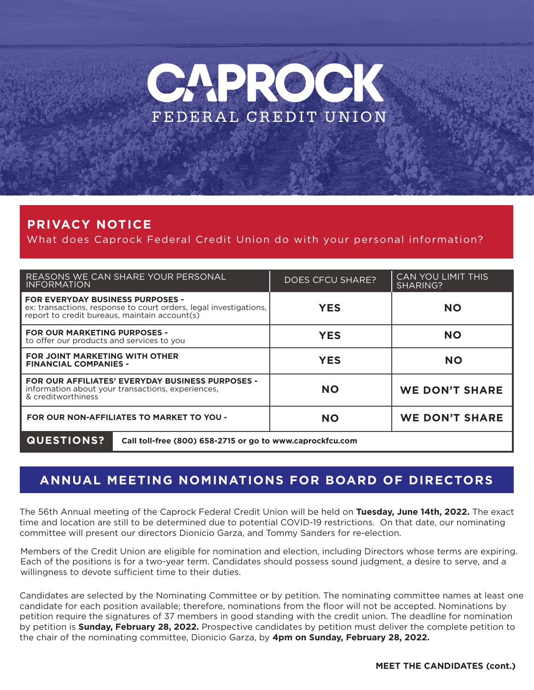

### **PRIVACY NOTICE**

What does Caprock Federal Credit Union do with your personal information?

| REASONS WE CAN SHARE YOUR PERSONAL<br><b>INFORMATION</b>                                                                                                      | <b>DOES CFCU SHARE?</b> | <b>CAN YOU LIMIT THIS</b><br>SHARING? |
|---------------------------------------------------------------------------------------------------------------------------------------------------------------|-------------------------|---------------------------------------|
| <b>FOR EVERYDAY BUSINESS PURPOSES -</b><br>ex: transactions, response to court orders, legal investigations,<br>report to credit bureaus, maintain account(s) | <b>YES</b>              | <b>NO</b>                             |
| <b>FOR OUR MARKETING PURPOSES -</b><br>to offer our products and services to you                                                                              | <b>YES</b>              | <b>NO</b>                             |
| <b>FOR JOINT MARKETING WITH OTHER</b><br><b>FINANCIAL COMPANIES -</b>                                                                                         | <b>YES</b>              | <b>NO</b>                             |
| <b>FOR OUR AFFILIATES' EVERYDAY BUSINESS PURPOSES -</b><br>information about your transactions, experiences,<br>& creditworthiness                            | <b>NO</b>               | <b>WE DON'T SHARE</b>                 |
| FOR OUR NON-AFFILIATES TO MARKET TO YOU -                                                                                                                     | <b>NO</b>               | <b>WE DON'T SHARE</b>                 |
| <b>QUESTIONS?</b><br>Call toll-free (800) 658-2715 or go to www.caprockfcu.com                                                                                |                         |                                       |

### **ANNUAL MEETING NOMINATIONS FOR BOARD OF DIRECTORS**

The 56th Annual meeting of the Caprock Federal Credit Union will be held on **Tuesday, June 14th, 2022.** The exact time and location are still to be determined due to potential COVID-19 restrictions. On that date, our nominating committee will present our directors Dionicio Garza, and Tommy Sanders for re-election.

Members of the Credit Union are eligible for nomination and election, including Directors whose terms are expiring. Each of the positions is for a two-year term. Candidates should possess sound judgment, a desire to serve, and a willingness to devote sufficient time to their duties.

Candidates are selected by the Nominating Committee or by petition. The nominating committee names at least one candidate for each position available; therefore, nominations from the floor will not be accepted. Nominations by petition require the signatures of 37 members in good standing with the credit union. The deadline for nomination by petition is **Sunday, February 28, 2022.** Prospective candidates by petition must deliver the complete petition to the chair of the nominating committee, Dionicio Garza, by **4pm on Sunday, February 28, 2022.**